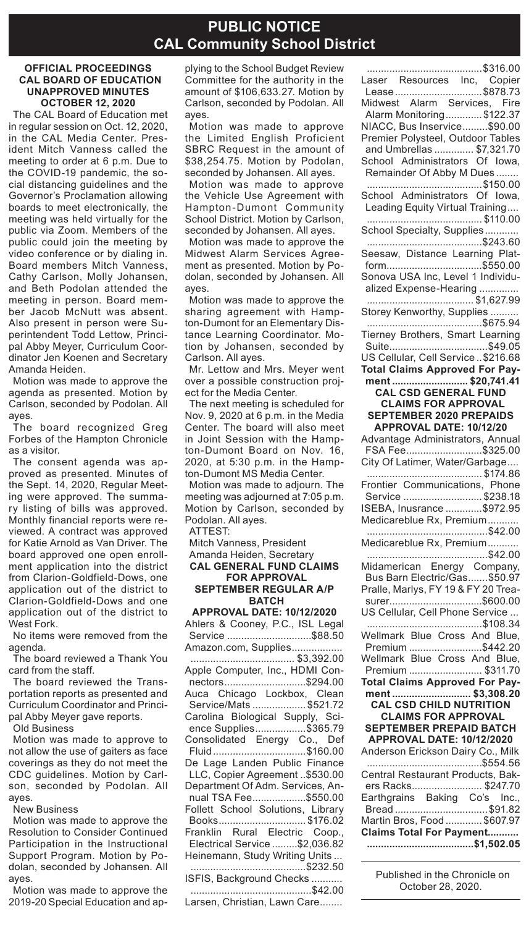### **PUBLIC NOTICE CAL Community School District**

#### **OFFICIAL PROCEEDINGS CAL BOARD OF EDUCATION UNAPPROVED MINUTES OCTOBER 12, 2020**

The CAL Board of Education met in regular session on Oct. 12, 2020, in the CAL Media Center. President Mitch Vanness called the meeting to order at 6 p.m. Due to the COVID-19 pandemic, the social distancing guidelines and the Governor's Proclamation allowing boards to meet electronically, the meeting was held virtually for the public via Zoom. Members of the public could join the meeting by video conference or by dialing in. Board members Mitch Vanness, Cathy Carlson, Molly Johansen, and Beth Podolan attended the meeting in person. Board member Jacob McNutt was absent. Also present in person were Superintendent Todd Lettow, Principal Abby Meyer, Curriculum Coordinator Jen Koenen and Secretary Amanda Heiden.

Motion was made to approve the agenda as presented. Motion by Carlson, seconded by Podolan. All ayes.

The board recognized Greg Forbes of the Hampton Chronicle as a visitor.

The consent agenda was approved as presented. Minutes of the Sept. 14, 2020, Regular Meeting were approved. The summary listing of bills was approved. Monthly financial reports were reviewed. A contract was approved for Katie Arnold as Van Driver. The board approved one open enrollment application into the district from Clarion-Goldfield-Dows, one application out of the district to Clarion-Goldfield-Dows and one application out of the district to West Fork.

No items were removed from the agenda.

The board reviewed a Thank You card from the staff.

The board reviewed the Transportation reports as presented and Curriculum Coordinator and Principal Abby Meyer gave reports.

Old Business

Motion was made to approve to not allow the use of gaiters as face coverings as they do not meet the CDC guidelines. Motion by Carlson, seconded by Podolan. All ayes.

New Business

Motion was made to approve the Resolution to Consider Continued Participation in the Instructional Support Program. Motion by Podolan, seconded by Johansen. All ayes.

Motion was made to approve the 2019-20 Special Education and applying to the School Budget Review Committee for the authority in the amount of \$106,633.27. Motion by Carlson, seconded by Podolan. All ayes.

Motion was made to approve the Limited English Proficient SBRC Request in the amount of \$38,254.75. Motion by Podolan, seconded by Johansen. All ayes.

Motion was made to approve the Vehicle Use Agreement with Hampton-Dumont Community School District. Motion by Carlson, seconded by Johansen. All ayes.

Motion was made to approve the Midwest Alarm Services Agreement as presented. Motion by Podolan, seconded by Johansen. All ayes.

Motion was made to approve the sharing agreement with Hampton-Dumont for an Elementary Distance Learning Coordinator. Motion by Johansen, seconded by Carlson. All ayes.

Mr. Lettow and Mrs. Meyer went over a possible construction project for the Media Center.

The next meeting is scheduled for Nov. 9, 2020 at 6 p.m. in the Media Center. The board will also meet in Joint Session with the Hampton-Dumont Board on Nov. 16, 2020, at 5:30 p.m. in the Hampton-Dumont MS Media Center.

Motion was made to adjourn. The meeting was adjourned at 7:05 p.m. Motion by Carlson, seconded by Podolan. All ayes.

ATTEST:

Mitch Vanness, President Amanda Heiden, Secretary **CAL GENERAL FUND CLAIMS** 

### **FOR APPROVAL SEPTEMBER REGULAR A/P BATCH**

**APPROVAL DATE: 10/12/2020** Ahlers & Cooney, P.C., ISL Legal Service ................................\$88.50 Amazon.com, Supplies................. ..................................... \$3,392.00 Apple Computer, Inc., HDMI Connectors.............................\$294.00 Auca Chicago Lockbox, Clean Service/Mats ................... \$521.72 Carolina Biological Supply, Science Supplies..................\$365.79 Consolidated Energy Co., Def Fluid.................................\$160.00 De Lage Landen Public Finance LLC, Copier Agreement ..\$530.00 Department Of Adm. Services, Annual TSA Fee...................\$550.00 Follett School Solutions, Library Books............................... \$176.02 Franklin Rural Electric Coop., Electrical Service .........\$2,036.82 Heinemann, Study Writing Units ... .........................................\$232.50 ISFIS, Background Checks ........... ...........................................\$42.00

Larsen, Christian, Lawn Care........

.........................................\$316.00 Laser Resources Inc, Copier Lease................................\$878.73 Midwest Alarm Services, Fire Alarm Monitoring.............\$122.37 NIACC, Bus Inservice.........\$90.00 Premier Polysteel, Outdoor Tables and Umbrellas .............. \$7,321.70 School Administrators Of Iowa. Remainder Of Abby M Dues ... .........................................\$150.00 School Administrators Of Iowa, Leading Equity Virtual Training... ......................................... \$110.00 School Specialty, Supplies.......... .........................................\$243.60 Seesaw, Distance Learning Platform..................................\$550.00 Sonova USA Inc, Level 1 Individualized Expense-Hearing .............. ...................................... \$1,627.99 Storey Kenworthy, Supplies ........ .........................................\$675.94 Tierney Brothers, Smart Learning Suite...................................\$49.05 US Cellular, Cell Service ..\$216.68 **Total Claims Approved For Payment ........................... \$20,741.41 CAL CSD GENERAL FUND CLAIMS FOR APPROVAL SEPTEMBER 2020 PREPAIDS APPROVAL DATE: 10/12/20** Advantage Administrators, Annual FSA Fee...........................\$325.00 City Of Latimer, Water/Garbage.... ......................................... \$174.86 Frontier Communications, Phone Service ............................ \$238.18 ISEBA, Inusrance .............\$972.95 Medicareblue Rx, Premium........... ...........................................\$42.00 Medicareblue Rx, Premium......... ...........................................\$42.00 Midamerican Energy Company, Bus Barn Electric/Gas.......\$50.97 Pralle, Marlys, FY 19 & FY 20 Treasurer.................................\$600.00 US Cellular, Cell Phone Service ... .........................................\$108.34 Wellmark Blue Cross And Blue, Premium ..........................\$442.20 Wellmark Blue Cross And Blue, Premium .......................... \$311.70 **Total Claims Approved For Payment ............................ \$3,308.20 CAL CSD CHILD NUTRITION CLAIMS FOR APPROVAL SEPTEMBER PREPAID BATCH APPROVAL DATE: 10/12/2020** Anderson Erickson Dairy Co., Milk .........................................\$554.56 Central Restaurant Products, Bakers Racks......................... \$247.70 Earthgrains Baking Co's Inc., Bread .................................\$91.82 Martin Bros, Food ............. \$607.97 **Claims Total For Payment........... ......................................\$1,502.05**

> Published in the Chronicle on October 28, 2020.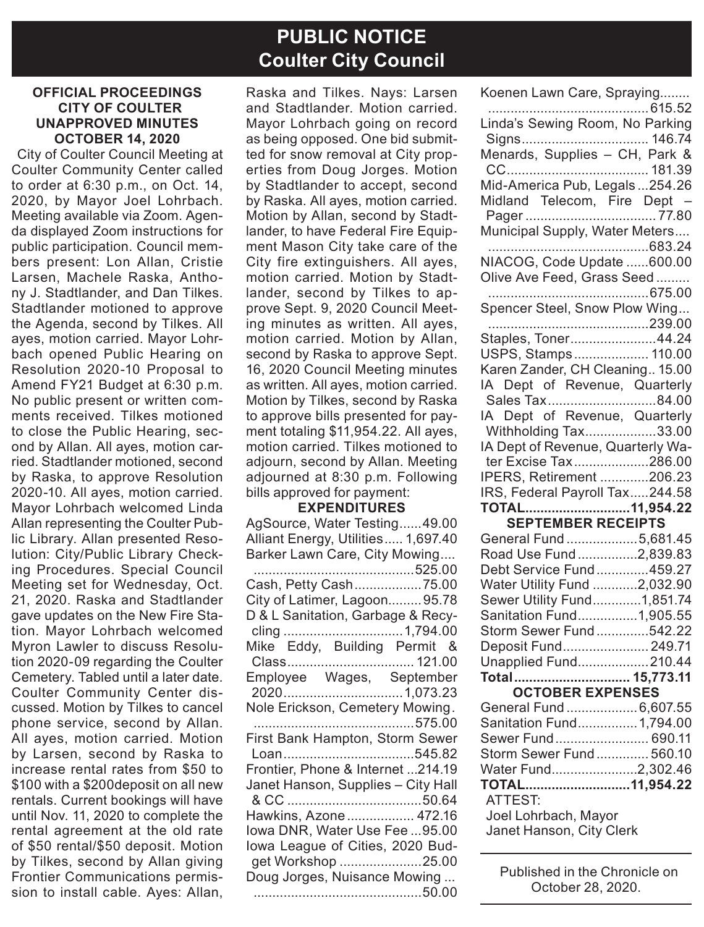# **PUBLIC NOTICE Coulter City Council**

#### **OFFICIAL PROCEEDINGS CITY OF COULTER UNAPPROVED MINUTES OCTOBER 14, 2020**

City of Coulter Council Meeting at Coulter Community Center called to order at 6:30 p.m., on Oct. 14, 2020, by Mayor Joel Lohrbach. Meeting available via Zoom. Agenda displayed Zoom instructions for public participation. Council members present: Lon Allan, Cristie Larsen, Machele Raska, Anthony J. Stadtlander, and Dan Tilkes. Stadtlander motioned to approve the Agenda, second by Tilkes. All ayes, motion carried. Mayor Lohrbach opened Public Hearing on Resolution 2020-10 Proposal to Amend FY21 Budget at 6:30 p.m. No public present or written comments received. Tilkes motioned to close the Public Hearing, second by Allan. All ayes, motion carried. Stadtlander motioned, second by Raska, to approve Resolution 2020-10. All ayes, motion carried. Mayor Lohrbach welcomed Linda Allan representing the Coulter Public Library. Allan presented Resolution: City/Public Library Checking Procedures. Special Council Meeting set for Wednesday, Oct. 21, 2020. Raska and Stadtlander gave updates on the New Fire Station. Mayor Lohrbach welcomed Myron Lawler to discuss Resolution 2020-09 regarding the Coulter Cemetery. Tabled until a later date. Coulter Community Center discussed. Motion by Tilkes to cancel phone service, second by Allan. All ayes, motion carried. Motion by Larsen, second by Raska to increase rental rates from \$50 to \$100 with a \$200deposit on all new rentals. Current bookings will have until Nov. 11, 2020 to complete the rental agreement at the old rate of \$50 rental/\$50 deposit. Motion by Tilkes, second by Allan giving Frontier Communications permission to install cable. Ayes: Allan,

Raska and Tilkes. Nays: Larsen and Stadtlander. Motion carried. Mayor Lohrbach going on record as being opposed. One bid submitted for snow removal at City properties from Doug Jorges. Motion by Stadtlander to accept, second by Raska. All ayes, motion carried. Motion by Allan, second by Stadtlander, to have Federal Fire Equipment Mason City take care of the City fire extinguishers. All ayes, motion carried. Motion by Stadtlander, second by Tilkes to approve Sept. 9, 2020 Council Meeting minutes as written. All ayes, motion carried. Motion by Allan, second by Raska to approve Sept. 16, 2020 Council Meeting minutes as written. All ayes, motion carried. Motion by Tilkes, second by Raska to approve bills presented for payment totaling \$11,954.22. All ayes, motion carried. Tilkes motioned to adiourn, second by Allan. Meeting adjourned at 8:30 p.m. Following bills approved for payment:

#### **EXPENDITURES**

| AgSource, Water Testing49.00<br>Alliant Energy, Utilities 1,697.40 |
|--------------------------------------------------------------------|
| Barker Lawn Care, City Mowing<br>525.00                            |
| Cash, Petty Cash75.00                                              |
| City of Latimer, Lagoon95.78                                       |
| D & L Sanitation, Garbage & Recy-                                  |
|                                                                    |
| Mike Eddy, Building Permit &                                       |
|                                                                    |
| Employee Wages, September                                          |
|                                                                    |
| Nole Erickson, Cemetery Mowing.                                    |
|                                                                    |
| First Bank Hampton, Storm Sewer                                    |
|                                                                    |
| Frontier, Phone & Internet 214.19                                  |
| Janet Hanson, Supplies - City Hall                                 |
|                                                                    |
| Hawkins, Azone  472.16                                             |
| lowa DNR, Water Use Fee  95.00                                     |
| lowa League of Cities, 2020 Bud-                                   |
| get Workshop 25.00                                                 |
| Doug Jorges, Nuisance Mowing                                       |
|                                                                    |

| Koenen Lawn Care, Spraying                  |
|---------------------------------------------|
|                                             |
| Linda's Sewing Room, No Parking             |
| Signs 146.74                                |
| Menards, Supplies - CH, Park &              |
|                                             |
| Mid-America Pub, Legals254.26               |
| Midland Telecom, Fire Dept -                |
|                                             |
| Municipal Supply, Water Meters              |
|                                             |
| NIACOG, Code Update 600.00                  |
| Olive Ave Feed, Grass Seed                  |
|                                             |
| Spencer Steel, Snow Plow Wing               |
|                                             |
| Staples, Toner44.24<br>USPS, Stamps 110.00  |
|                                             |
| Karen Zander, CH Cleaning 15.00             |
| IA Dept of Revenue, Quarterly               |
| Sales Tax84.00                              |
| IA Dept of Revenue, Quarterly               |
| Withholding Tax33.00                        |
| IA Dept of Revenue, Quarterly Wa-           |
| ter Excise Tax286.00                        |
| IPERS, Retirement 206.23                    |
| IRS, Federal Payroll Tax244.58              |
| TOTAL11,954.22<br><b>SEPTEMBER RECEIPTS</b> |
|                                             |
| General Fund 5,681.45                       |
| Road Use Fund2,839.83                       |
|                                             |
| Debt Service Fund459.27                     |
| Water Utility Fund 2,032.90                 |
| Sewer Utility Fund1,851.74                  |
| Sanitation Fund1,905.55                     |
| Storm Sewer Fund542.22                      |
| Deposit Fund 249.71                         |
| Unapplied Fund210.44                        |
| Total 15,773.11                             |
| <b>OCTOBER EXPENSES</b>                     |
| General Fund  6,607.55                      |
| Sanitation Fund 1,794.00                    |
| Sewer Fund 690.11                           |
| Storm Sewer Fund  560.10                    |
| Water Fund2,302.46                          |
| TOTAL11,954.22                              |
| ATTEST:                                     |
| Joel Lohrbach, Mayor                        |
| Janet Hanson, City Clerk                    |

Published in the Chronicle on October 28, 2020.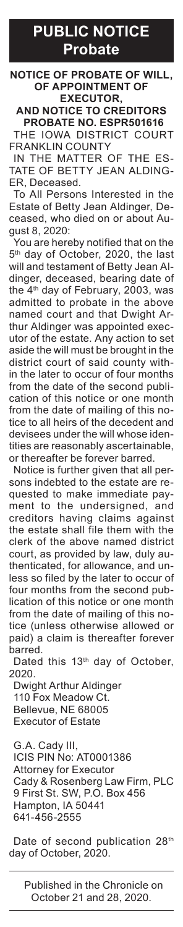**PUBLIC NOTICE Probate**

**NOTICE OF PROBATE OF WILL, OF APPOINTMENT OF EXECUTOR,**

**AND NOTICE TO CREDITORS**

**PROBATE NO. ESPR501616** THE IOWA DISTRICT COURT FRANKLIN COUNTY

IN THE MATTER OF THE ES-TATE OF BETTY JEAN ALDING-ER, Deceased.

To All Persons Interested in the Estate of Betty Jean Aldinger, Deceased, who died on or about August 8, 2020:

You are hereby notified that on the 5<sup>th</sup> day of October, 2020, the last will and testament of Betty Jean Aldinger, deceased, bearing date of the 4th day of February, 2003, was admitted to probate in the above named court and that Dwight Arthur Aldinger was appointed executor of the estate. Any action to set aside the will must be brought in the district court of said county within the later to occur of four months from the date of the second publication of this notice or one month from the date of mailing of this notice to all heirs of the decedent and devisees under the will whose identities are reasonably ascertainable, or thereafter be forever barred.

Notice is further given that all persons indebted to the estate are requested to make immediate payment to the undersigned, and creditors having claims against the estate shall file them with the clerk of the above named district court, as provided by law, duly authenticated, for allowance, and unless so filed by the later to occur of four months from the second publication of this notice or one month from the date of mailing of this notice (unless otherwise allowed or paid) a claim is thereafter forever barred.

Dated this 13<sup>th</sup> day of October, 2020.

Dwight Arthur Aldinger 110 Fox Meadow Ct. Bellevue, NE 68005 Executor of Estate

G.A. Cady III, ICIS PIN No: AT0001386 Attorney for Executor Cady & Rosenberg Law Firm, PLC 9 First St. SW, P.O. Box 456 Hampton, IA 50441 641-456-2555

Date of second publication 28<sup>th</sup> day of October, 2020.

Published in the Chronicle on October 21 and 28, 2020.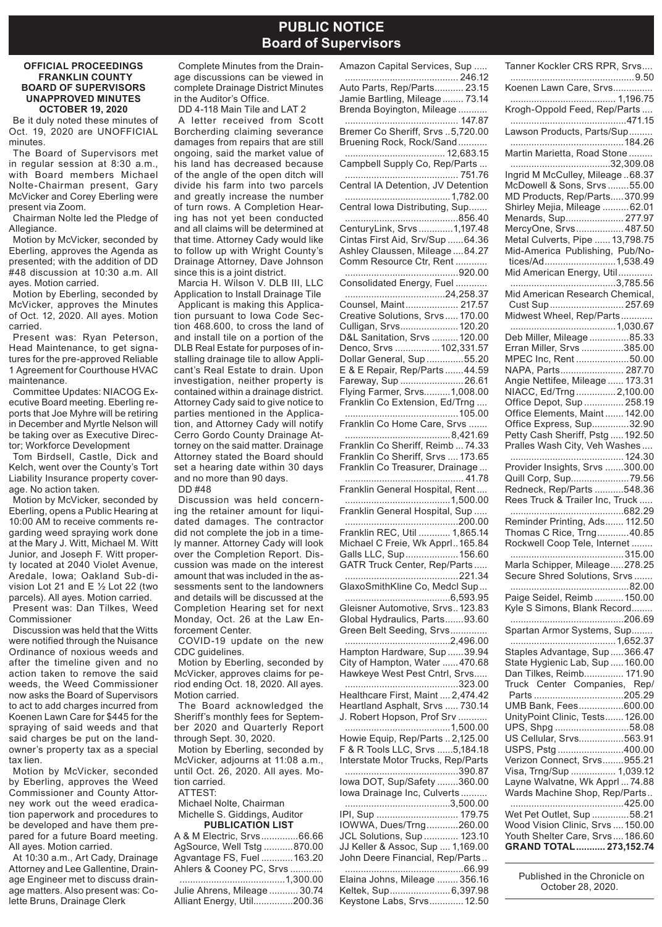### **PUBLIC NOTICE Board of Supervisors**

#### **OFFICIAL PROCEEDINGS FRANKLIN COUNTY BOARD OF SUPERVISORS UNAPPROVED MINUTES OCTOBER 19, 2020**

Be it duly noted these minutes of Oct. 19, 2020 are UNOFFICIAL minutes.

The Board of Supervisors met in regular session at 8:30 a.m., with Board members Michael Nolte-Chairman present, Gary McVicker and Corey Eberling were present via Zoom.

Chairman Nolte led the Pledge of Allegiance.

Motion by McVicker, seconded by Eberling, approves the Agenda as presented; with the addition of DD #48 discussion at 10:30 a.m. All ayes. Motion carried.

Motion by Eberling, seconded by McVicker, approves the Minutes of Oct. 12, 2020. All ayes. Motion carried.

Present was: Ryan Peterson, Head Maintenance, to get signatures for the pre-approved Reliable 1 Agreement for Courthouse HVAC maintenance.

Committee Updates: NIACOG Executive Board meeting. Eberling reports that Joe Myhre will be retiring in December and Myrtle Nelson will be taking over as Executive Director; Workforce Development

Tom Birdsell, Castle, Dick and Kelch, went over the County's Tort Liability Insurance property coverage. No action taken.

Motion by McVicker, seconded by Eberling, opens a Public Hearing at 10:00 AM to receive comments regarding weed spraying work done at the Mary J. Witt, Michael M. Witt Junior, and Joseph F. Witt property located at 2040 Violet Avenue, Aredale, Iowa; Oakland Sub-division Lot 21 and E ½ Lot 22 (two parcels). All ayes. Motion carried. Present was: Dan Tilkes, Weed

Commissioner

Discussion was held that the Witts were notified through the Nuisance Ordinance of noxious weeds and after the timeline given and no action taken to remove the said weeds, the Weed Commissioner now asks the Board of Supervisors to act to add charges incurred from Koenen Lawn Care for \$445 for the spraying of said weeds and that said charges be put on the landowner's property tax as a special tax lien.

Motion by McVicker, seconded by Eberling, approves the Weed Commissioner and County Attorney work out the weed eradication paperwork and procedures to be developed and have them prepared for a future Board meeting. All ayes. Motion carried.

At 10:30 a.m., Art Cady, Drainage Attorney and Lee Gallentine, Drainage Engineer met to discuss drainage matters. Also present was: Colette Bruns, Drainage Clerk

Complete Minutes from the Drainage discussions can be viewed in complete Drainage District Minutes in the Auditor's Office.

DD 4-118 Main Tile and LAT 2

A letter received from Scott Borcherding claiming severance damages from repairs that are still ongoing, said the market value of his land has decreased because of the angle of the open ditch will divide his farm into two parcels and greatly increase the number of turn rows. A Completion Hearing has not yet been conducted and all claims will be determined at that time. Attorney Cady would like to follow up with Wright County's Drainage Attorney, Dave Johnson since this is a joint district.

Marcia H. Wilson V. DLB III, LLC Application to Install Drainage Tile Applicant is making this Application pursuant to Iowa Code Section 468.600, to cross the land of and install tile on a portion of the DLB Real Estate for purposes of installing drainage tile to allow Applicant's Real Estate to drain. Upon investigation, neither property is contained within a drainage district. Attorney Cady said to give notice to parties mentioned in the Application, and Attorney Cady will notify Cerro Gordo County Drainage Attorney on the said matter. Drainage Attorney stated the Board should set a hearing date within 30 days and no more than 90 days.

DD #48

Discussion was held concerning the retainer amount for liquidated damages. The contractor did not complete the job in a timely manner. Attorney Cady will look over the Completion Report. Discussion was made on the interest amount that was included in the assessments sent to the landowners and details will be discussed at the Completion Hearing set for next Monday, Oct. 26 at the Law Enforcement Center.

COVID-19 update on the new CDC guidelines.

Motion by Eberling, seconded by McVicker, approves claims for period ending Oct. 18, 2020. All ayes. Motion carried.

The Board acknowledged the Sheriff's monthly fees for September 2020 and Quarterly Report through Sept. 30, 2020.

Motion by Eberling, seconded by McVicker, adjourns at 11:08 a.m., until Oct. 26, 2020. All ayes. Motion carried.

ATTEST: Michael Nolte, Chairman

#### Michelle S. Giddings, Auditor **PUBLICATION LIST**

| FUDLIVATIVIN LIJT            |  |
|------------------------------|--|
| A & M Electric, Srvs66.66    |  |
| AgSource, Well Tstg 870.00   |  |
| Agvantage FS, Fuel163.20     |  |
| Ahlers & Cooney PC, Srvs     |  |
| 1,300.00                     |  |
| Julie Ahrens, Mileage  30.74 |  |
| Alliant Energy, Util200.36   |  |
|                              |  |

| Amazon Capital Services, Sup                                         |
|----------------------------------------------------------------------|
| Auto Parts, Rep/Parts 23.15                                          |
| Jamie Bartling, Mileage  73.14                                       |
| Brenda Boyington, Mileage                                            |
| $\begin{array}{c}\n 147.87\n \end{array}$                            |
| Bremer Co Sheriff, Srvs 5,720.00                                     |
| Bruening Rock, Rock/Sand                                             |
|                                                                      |
|                                                                      |
| Central IA Detention, JV Detention                                   |
|                                                                      |
| Central lowa Distributing, Sup                                       |
|                                                                      |
| CenturyLink, Srvs 1,197.48<br>Cintas First Aid, Srv/Sup 64.36        |
|                                                                      |
| Ashley Claussen, Mileage  84.27                                      |
| Comm Resource Ctr, Rent                                              |
| Consolidated Energy, Fuel                                            |
|                                                                      |
| Counsel, Maint 217.57                                                |
| Creative Solutions, Srvs 170.00                                      |
| Culligan, Srvs 120.20<br>D&L Sanitation, Srvs  120.00                |
|                                                                      |
| Denco, Srvs  102,331.57                                              |
| Dollar General, Sup 55.20<br>E & E Repair, Rep/Parts 44.59           |
| Fareway, Sup 26.61                                                   |
|                                                                      |
| Flying Farmer, Srvs1,008.00<br>Franklin Co Extension, Ed/Trng        |
|                                                                      |
| Franklin Co Home Care, Srvs                                          |
| Franklin Co Sheriff, Reimb  74.33                                    |
| Franklin Co Sheriff, Srvs  173.65                                    |
| Franklin Co Treasurer, Drainage                                      |
|                                                                      |
| Franklin General Hospital, Rent                                      |
|                                                                      |
|                                                                      |
| Franklin REC, Util  1,865.14<br>Michael C Freie, Wk Apprl. 165.84    |
|                                                                      |
| Galls LLC, Sup156.60<br>GATR Truck Center, Rep/Parts                 |
|                                                                      |
| GlaxoSmithKline Co, Medcl Sup                                        |
|                                                                      |
| Gleisner Automotive, Srvs 123.83                                     |
| Global Hydraulics, Parts93.60<br>Green Belt Seeding, Srvs            |
|                                                                      |
| Hampton Hardware, Sup 39.94                                          |
| City of Hampton, Water  470.68                                       |
| Hawkeye West Pest Cntrl, Srvs                                        |
|                                                                      |
| Healthcare First, Maint  2,474.42                                    |
| Heartland Asphalt, Srvs  730.14                                      |
| J. Robert Hopson, Prof Srv                                           |
| Howie Equip, Rep/Parts  2,125.00                                     |
|                                                                      |
| F & R Tools LLC, Srvs 5,184.18<br>Interstate Motor Trucks, Rep/Parts |
|                                                                      |
| lowa DOT, Sup/Safety 360.00                                          |
| Iowa Drainage Inc, Culverts                                          |
| IPI, Sup  179.75                                                     |
| IOWWA, Dues/Trng260.00                                               |
| JCL Solutions, Sup  123.10                                           |
| JJ Keller & Assoc, Sup  1,169.00                                     |
| John Deere Financial, Rep/Parts                                      |
|                                                                      |
| Elaina Johns, Mileage  356.16                                        |

Keltek, Sup.......................6,397.98 Keystone Labs, Srvs.............12.50

| Tanner Kockler CRS RPR, Srvs                                                                    |  |
|-------------------------------------------------------------------------------------------------|--|
| Koenen Lawn Care, Srvs                                                                          |  |
|                                                                                                 |  |
| $\cdots$ 471.15<br>Lawson Products, Parts/Sup                                                   |  |
| Martin Marietta, Road Stone                                                                     |  |
|                                                                                                 |  |
| McDowell & Sons, Srvs55.00                                                                      |  |
| MD Products, Rep/Parts370.99                                                                    |  |
| Shirley Mejia, Mileage  62.01                                                                   |  |
| Menards, Sup 277.97                                                                             |  |
|                                                                                                 |  |
|                                                                                                 |  |
|                                                                                                 |  |
|                                                                                                 |  |
| Mid-America Publishing, Pub/No-<br>Mid-America Publishing, Pub/No-<br>Mid American Energy, Util |  |
|                                                                                                 |  |
| Mid American Research Chemical,                                                                 |  |
| Cust Sup 257.69                                                                                 |  |
| Midwest Wheel, Rep/Parts<br>1,030.67                                                            |  |
| Deb Miller, Mileage 85.33                                                                       |  |
| Erran Miller, Srvs 385.00                                                                       |  |
| MPEC Inc, Rent 50.00                                                                            |  |
| NAPA, Parts 287.70                                                                              |  |
| .<br>Angie Nettifee, Mileage  173.31                                                            |  |
| NIACC, Ed/Trng2,100.00                                                                          |  |
| Office Depot, Sup  258.19                                                                       |  |
| Office Elements, Maint  142.00                                                                  |  |
| Office Express, Sup32.90                                                                        |  |
| Petty Cash Sheriff, Pstg 192.50<br>Pralles Wash City, Veh Washes                                |  |
|                                                                                                 |  |
|                                                                                                 |  |
| Quill Corp, Sup79.56                                                                            |  |
|                                                                                                 |  |
| Redneck, Rep/Parts 548.36<br>Rees Truck & Trailer Inc, Truck                                    |  |
|                                                                                                 |  |
|                                                                                                 |  |
| Reminder Printing, Ads 112.50<br>Thomas C Rice, Trng40.85<br>Rockwell Coop Tele, Internet       |  |
|                                                                                                 |  |
|                                                                                                 |  |
| Marla Schipper, Mileage278.25<br>Secure Shred Solutions, Srvs                                   |  |
|                                                                                                 |  |
| Paige Seidel, Reimb  150.00                                                                     |  |
| Kyle S Simons, Blank Record                                                                     |  |
|                                                                                                 |  |
|                                                                                                 |  |
|                                                                                                 |  |
| Staples Advantage, Sup 366.47<br>State Hygienic Lab, Sup 160.00                                 |  |
| Dan Tilkes, Reimb 171.90                                                                        |  |
| Truck Center Companies, Rep/                                                                    |  |
|                                                                                                 |  |
| UMB Bank, Fees600.00                                                                            |  |
| UnityPoint Clinic, Tests 126.00                                                                 |  |
| UPS, Shpg58.08                                                                                  |  |
| US Cellular, Srvs563.91                                                                         |  |
| USPS, Pstg 400.00                                                                               |  |
| Verizon Connect, Srvs955.21                                                                     |  |
| Visa, Trng/Sup  1,039.12                                                                        |  |
|                                                                                                 |  |
| Layne Walvatne, Wk Apprl  74.88                                                                 |  |
| Wards Machine Shop, Rep/Parts                                                                   |  |
|                                                                                                 |  |
| Wet Pet Outlet, Sup 58.21                                                                       |  |
| Wood Vision Clinic, Srvs  150.00                                                                |  |
| Youth Shelter Care, Srvs186.60<br>GRAND TOTAL  273,152.74                                       |  |

Published in the Chronicle on October 28, 2020.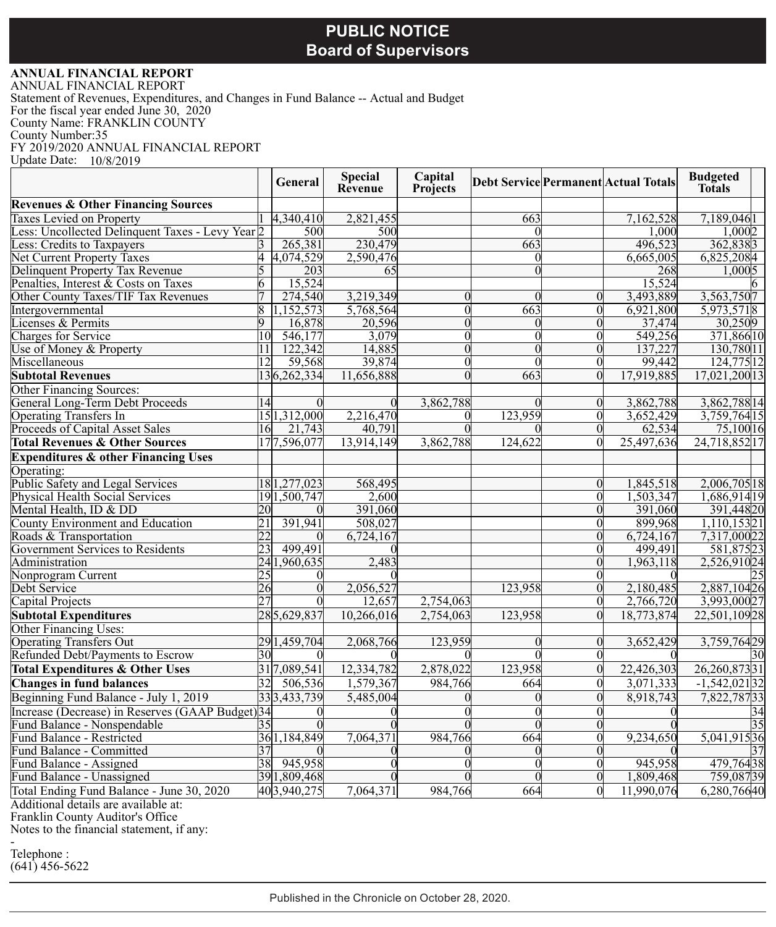# **PUBLIC NOTICE Board of Supervisors**

### **ANNUAL FINANCIAL REPORT**

ANNUAL FINANCIAL REPORT Statement of Revenues, Expenditures, and Changes in Fund Balance -- Actual and Budget For the fiscal year ended June 30, 2020 County Name: FRANKLIN COUNTY County Number:35 FY 2019/2020 ANNUAL FINANCIAL REPORT Update Date: 10/8/2019 ┯

|                                                  |    | General        | <b>Special</b><br>Revenue | Capital<br><b>Projects</b> |          |                | <b>Debt Service Permanent Actual Totals</b> | <b>Budgeted</b><br><b>Totals</b> |
|--------------------------------------------------|----|----------------|---------------------------|----------------------------|----------|----------------|---------------------------------------------|----------------------------------|
| <b>Revenues &amp; Other Financing Sources</b>    |    |                |                           |                            |          |                |                                             |                                  |
| Taxes Levied on Property                         |    | 4,340,410      | 2,821,455                 |                            | 663      |                | 7,162,528                                   | 7,189,0461                       |
| ess: Uncollected Delinquent Taxes - Levy Year 2  |    | 500            | 500                       |                            |          |                | 1,000                                       | 1,0002                           |
| Less: Credits to Taxpayers                       |    | 265,381        | 230,479                   |                            | 663      |                | 496.523                                     | 362,8383                         |
| <b>Net Current Property Taxes</b>                |    | 4,074,529      | 2,590,476                 |                            | $\Omega$ |                | 6,665,005                                   | 6,825,2084                       |
| Delinquent Property Tax Revenue                  |    | 203            | 65                        |                            |          |                | 268                                         | 1.0005                           |
| Penalties, Interest & Costs on Taxes             | 6  | 15,524         |                           |                            |          |                | 15,524                                      |                                  |
| Other County Taxes/TIF Tax Revenues              |    | 274,540        | 3,219,349                 |                            |          | $\Omega$       | 3,493,889                                   | 3,563,7507                       |
| Intergovernmental                                | 8  | 1,152,573      | 5,768,564                 | $\Omega$                   | 663      | $\Omega$       | 6,921,800                                   | 5,973,5718                       |
| icenses & Permits                                | 9  | 16,878         | 20,596                    |                            |          | $\Omega$       | 37,474                                      | 30,2509                          |
| Charges for Service                              | 10 | 546,177        | 3,079                     |                            |          | $\Omega$       | 549,256                                     | 371,86610                        |
| Jse of Money & Property                          | 11 | 122,342        | 14,885                    |                            |          | $\theta$       | 137,227                                     | 130,78011                        |
| Miscellaneous                                    | 12 | 59,568         | 39,874                    |                            | $\Omega$ | $\Omega$       | 99.442                                      | 124,77512                        |
| <b>Subtotal Revenues</b>                         |    | 136,262,334    | 11,656,888                |                            | 663      | $\Omega$       | 17,919,885                                  | 17,021,20013                     |
| Other Financing Sources:                         |    |                |                           |                            |          |                |                                             |                                  |
| General Long-Term Debt Proceeds                  | 14 |                |                           | 3,862,788                  |          | $\Omega$       | 3,862,788                                   | 3,862,788 14                     |
| <b>Operating Transfers In</b>                    |    | 15 1, 312, 000 | 2,216,470                 |                            | 123,959  | $\Omega$       | 3,652,429                                   | 3,759,76415                      |
| Proceeds of Capital Asset Sales                  | 16 | 21,743         | 40,791                    |                            |          | $\Omega$       | 62,534                                      | 75,10016                         |
| <b>Total Revenues &amp; Other Sources</b>        |    | 177,596,077    | 13,914,149                | 3,862,788                  | 124,622  | $\theta$       | 25,497,636                                  | 24,718,85217                     |
| <b>Expenditures &amp; other Financing Uses</b>   |    |                |                           |                            |          |                |                                             |                                  |
| Operating:                                       |    |                |                           |                            |          |                |                                             |                                  |
| Public Safety and Legal Services                 |    | 181,277,023    | 568,495                   |                            |          | $\Omega$       | 1,845,518                                   | 2,006,705 18                     |
| Physical Health Social Services                  |    | 191,500,747    | 2,600                     |                            |          | $\Omega$       | 1,503,347                                   | 1,686,91419                      |
| Mental Health, ID & DD                           | 20 |                | 391,060                   |                            |          | $\Omega$       | 391,060                                     | 391,44820                        |
| County Environment and Education                 | 21 | 391,941        | 508,027                   |                            |          |                | 899,968                                     | 1,110,15321                      |
| Roads & Transportation                           | 22 |                | 6,724,167                 |                            |          | $\Omega$       | 6,724,167                                   |                                  |
| Government Services to Residents                 | 23 | 499,491        |                           |                            |          | $\theta$       | 499.491                                     | $\frac{7,317,00022}{581,87523}$  |
| Administration                                   | 24 | 1.960.635      | 2.483                     |                            |          | $\Omega$       | 1.963.118                                   | 2,526,91024                      |
| Nonprogram Current                               | 25 | 0              |                           |                            |          | $\Omega$       |                                             |                                  |
| Debt Service                                     | 26 | $\overline{0}$ | 2,056,527                 |                            | 123,958  | $\overline{0}$ | 2,180,485                                   | 2,887,10426                      |
| Capital Projects                                 | 27 | $\Omega$       | 12,657                    | 2,754,063                  |          | $\Omega$       | 2,766,720                                   | 3,993,00027                      |
| <b>Subtotal Expenditures</b>                     |    | 285,629,837    | 10,266,016                | 2,754,063                  | 123,958  | $\Omega$       | 18,773,874                                  | 22,501,10928                     |
| Other Financing Uses:                            |    |                |                           |                            |          |                |                                             |                                  |
| <b>Operating Transfers Out</b>                   |    | 29 1,459,704   | 2,068,766                 | 123,959                    |          | $\Omega$       | 3,652,429                                   | 3,759,76429                      |
| Refunded Debt/Payments to Escrow                 | 30 |                |                           |                            |          |                |                                             | 30                               |
| <b>Total Expenditures &amp; Other Uses</b>       |    | 317,089,541    | 12,334,782                | 2,878,022                  | 123,958  | $\mathbf{0}$   | 22,426,303                                  | 26,260,87331                     |
| <b>Changes in fund balances</b>                  | 32 | 506,536        | 1,579,367                 | 984,766                    | 664      |                | 3,071,333                                   | $-1,542,02132$                   |
| Beginning Fund Balance - July 1, 2019            |    | 333.433.739    | 5,485,004                 |                            |          |                | 8,918,743                                   | 7,822,78733                      |
| Increase (Decrease) in Reserves (GAAP Budget) 34 |    | $\Omega$       |                           |                            |          | $\Omega$       |                                             | 34                               |
| Fund Balance - Nonspendable                      |    |                |                           |                            |          | $\overline{0}$ |                                             | 35                               |
| und Balance - Restricted                         |    | 361,184,849    | 7,064,371                 | 984,766                    | 664      | $\Omega$       | 9,234,650                                   | 5,041,91536                      |
| Fund Balance - Committed                         | 37 |                |                           |                            |          | $\Omega$       |                                             | 37                               |
| Fund Balance - Assigned                          | 38 | 945,958        |                           |                            |          |                | 945,958                                     | 479,76438                        |
| Fund Balance - Unassigned                        |    | 391,809,468    |                           |                            |          | $\Omega$       | 1,809,468                                   | 759,08739                        |
| Total Ending Fund Balance - June 30, 2020        |    | 403,940,275    | 7,064,371                 | 984,766                    | 664      |                | 11,990,076                                  | 6,280,76640                      |

Additional details are available at:

Franklin County Auditor's Office

Notes to the financial statement, if any:

- Telephone :  $(641)$  456-5622